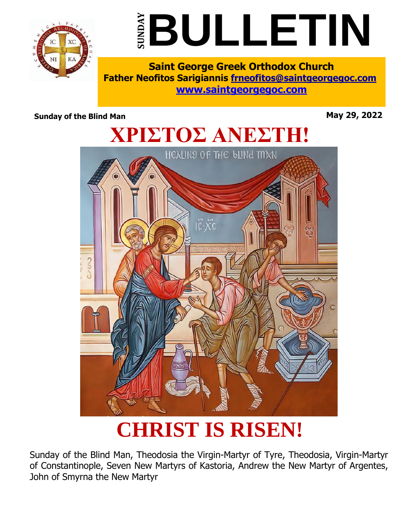



**Saint George Greek Orthodox Church Father Neofitos Sarigiannis frneofitos@saintgeorgegoc.com [www.saintgeorgegoc.com](http://www.saintgeorgegoc.com/)**

**Sunday of the Blind Man**<br> **May 29, 2022** 



# **CHRIST IS RISEN!**

Sunday of the Blind Man, Theodosia the Virgin-Martyr of Tyre, Theodosia, Virgin-Martyr of Constantinople, Seven New Martyrs of Kastoria, Andrew the New Martyr of Argentes, John of Smyrna the New Martyr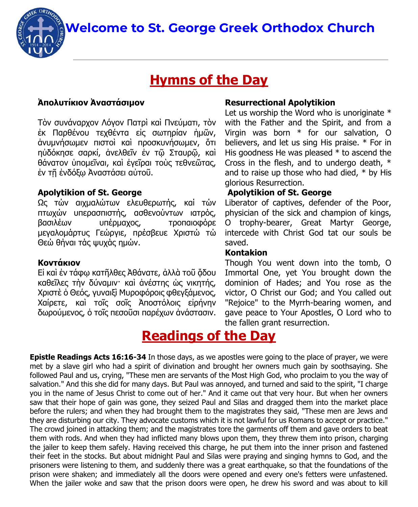**Welcome to St. George Greek Orthodox Church**

## **Hymns of the Day**

### **Ἀπολυτίκιον Ἀναστάσιμον**

Τὸν συνάναρχον Λόγον Πατρὶ καὶ Πνεύματι, τὸν έκ Παρθένου τεχθέντα είς σωτηρίαν ἡμῶν, ἀνυμνήσωμεν πιστοὶ καὶ προσκυνήσωμεν, ὅτι ηὐδόκησε σαρκί, ἀνελθεῖν ἐν τῷ Σταυρῷ, καὶ θάνατον ὑπομεῖναι, καὶ ἐγεῖραι τοὺς τεθνεῶτας, ἐν τῇ ἐνδόξῳ Ἀναστάσει αὐτοῦ.

#### **Apolytikion of St. George**

Ως τών αιχμαλώτων ελευθερωτής, καί τών πτωχών υπερασπιστής, ασθενούντων ιατρός, βασιλέων υπέρμαχος, τροπαιοφόρε μεγαλομάρτυς Γεώργιε, πρέσβευε Χριστώ τώ Θεώ θήναι τάς ψυχάς ημώv.

#### **Κοντάκιον**

Εί καὶ ἐν τάφω κατῆλθες Ἀθάνατε, ἀλλὰ τοῦ ἄδου καθεῖλες τὴν δύναμιν· καὶ ἀνέστης ὡς νικητής, Χριστὲ ὁ Θεός, γυναιξὶ Μυροφόροις φθεγξάμενος, Χαίρετε, καὶ τοῖς σοῖς Ἀποστόλοις εἰρήνην δωρούμενος, ὁ τοῖς πεσοῦσι παρέχων ἀνάστασιν.

#### **Resurrectional Apolytikion**

Let us worship the Word who is unoriginate  $*$ with the Father and the Spirit, and from a Virgin was born \* for our salvation, O believers, and let us sing His praise. \* For in His goodness He was pleased \* to ascend the Cross in the flesh, and to undergo death, \* and to raise up those who had died,  $*$  by His glorious Resurrection.

#### **Apolytikion of St. George**

Liberator of captives, defender of the Poor, physician of the sick and champion of kings, O trophy-bearer, Great Martyr George, intercede with Christ God tat our souls be saved.

#### **Kontakion**

Though You went down into the tomb, O Immortal One, yet You brought down the dominion of Hades; and You rose as the victor, O Christ our God; and You called out "Rejoice" to the Myrrh-bearing women, and gave peace to Your Apostles, O Lord who to the fallen grant resurrection.

## **Readings of the Day**

**Epistle Readings Acts 16:16-34** In those days, as we apostles were going to the place of prayer, we were met by a slave girl who had a spirit of divination and brought her owners much gain by soothsaying. She followed Paul and us, crying, "These men are servants of the Most High God, who proclaim to you the way of salvation." And this she did for many days. But Paul was annoyed, and turned and said to the spirit, "I charge you in the name of Jesus Christ to come out of her." And it came out that very hour. But when her owners saw that their hope of gain was gone, they seized Paul and Silas and dragged them into the market place before the rulers; and when they had brought them to the magistrates they said, "These men are Jews and they are disturbing our city. They advocate customs which it is not lawful for us Romans to accept or practice." The crowd joined in attacking them; and the magistrates tore the garments off them and gave orders to beat them with rods. And when they had inflicted many blows upon them, they threw them into prison, charging the jailer to keep them safely. Having received this charge, he put them into the inner prison and fastened their feet in the stocks. But about midnight Paul and Silas were praying and singing hymns to God, and the prisoners were listening to them, and suddenly there was a great earthquake, so that the foundations of the prison were shaken; and immediately all the doors were opened and every one's fetters were unfastened. When the jailer woke and saw that the prison doors were open, he drew his sword and was about to kill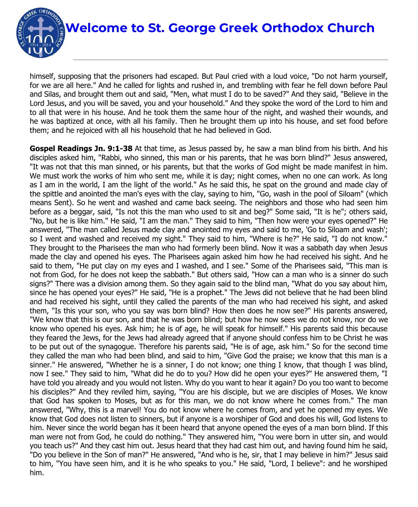

himself, supposing that the prisoners had escaped. But Paul cried with a loud voice, "Do not harm yourself, for we are all here." And he called for lights and rushed in, and trembling with fear he fell down before Paul and Silas, and brought them out and said, "Men, what must I do to be saved?" And they said, "Believe in the Lord Jesus, and you will be saved, you and your household." And they spoke the word of the Lord to him and to all that were in his house. And he took them the same hour of the night, and washed their wounds, and he was baptized at once, with all his family. Then he brought them up into his house, and set food before them; and he rejoiced with all his household that he had believed in God.

**Gospel Readings Jn. 9:1-38** At that time, as Jesus passed by, he saw a man blind from his birth. And his disciples asked him, "Rabbi, who sinned, this man or his parents, that he was born blind?" Jesus answered, "It was not that this man sinned, or his parents, but that the works of God might be made manifest in him. We must work the works of him who sent me, while it is day; night comes, when no one can work. As long as I am in the world, I am the light of the world." As he said this, he spat on the ground and made clay of the spittle and anointed the man's eyes with the clay, saying to him, "Go, wash in the pool of Siloam" (which means Sent). So he went and washed and came back seeing. The neighbors and those who had seen him before as a beggar, said, "Is not this the man who used to sit and beg?" Some said, "It is he"; others said, "No, but he is like him." He said, "I am the man." They said to him, "Then how were your eyes opened?" He answered, "The man called Jesus made clay and anointed my eyes and said to me, 'Go to Siloam and wash'; so I went and washed and received my sight." They said to him, "Where is he?" He said, "I do not know." They brought to the Pharisees the man who had formerly been blind. Now it was a sabbath day when Jesus made the clay and opened his eyes. The Pharisees again asked him how he had received his sight. And he said to them, "He put clay on my eyes and I washed, and I see." Some of the Pharisees said, "This man is not from God, for he does not keep the sabbath." But others said, "How can a man who is a sinner do such signs?" There was a division among them. So they again said to the blind man, "What do you say about him, since he has opened your eyes?" He said, "He is a prophet." The Jews did not believe that he had been blind and had received his sight, until they called the parents of the man who had received his sight, and asked them, "Is this your son, who you say was born blind? How then does he now see?" His parents answered, "We know that this is our son, and that he was born blind; but how he now sees we do not know, nor do we know who opened his eyes. Ask him; he is of age, he will speak for himself." His parents said this because they feared the Jews, for the Jews had already agreed that if anyone should confess him to be Christ he was to be put out of the synagogue. Therefore his parents said, "He is of age, ask him." So for the second time they called the man who had been blind, and said to him, "Give God the praise; we know that this man is a sinner." He answered, "Whether he is a sinner, I do not know; one thing I know, that though I was blind, now I see." They said to him, "What did he do to you? How did he open your eyes?" He answered them, "I have told you already and you would not listen. Why do you want to hear it again? Do you too want to become his disciples?" And they reviled him, saying, "You are his disciple, but we are disciples of Moses. We know that God has spoken to Moses, but as for this man, we do not know where he comes from." The man answered, "Why, this is a marvel! You do not know where he comes from, and yet he opened my eyes. We know that God does not listen to sinners, but if anyone is a worshiper of God and does his will, God listens to him. Never since the world began has it been heard that anyone opened the eyes of a man born blind. If this man were not from God, he could do nothing." They answered him, "You were born in utter sin, and would you teach us?" And they cast him out. Jesus heard that they had cast him out, and having found him he said, "Do you believe in the Son of man?" He answered, "And who is he, sir, that I may believe in him?" Jesus said to him, "You have seen him, and it is he who speaks to you." He said, "Lord, I believe": and he worshiped him.